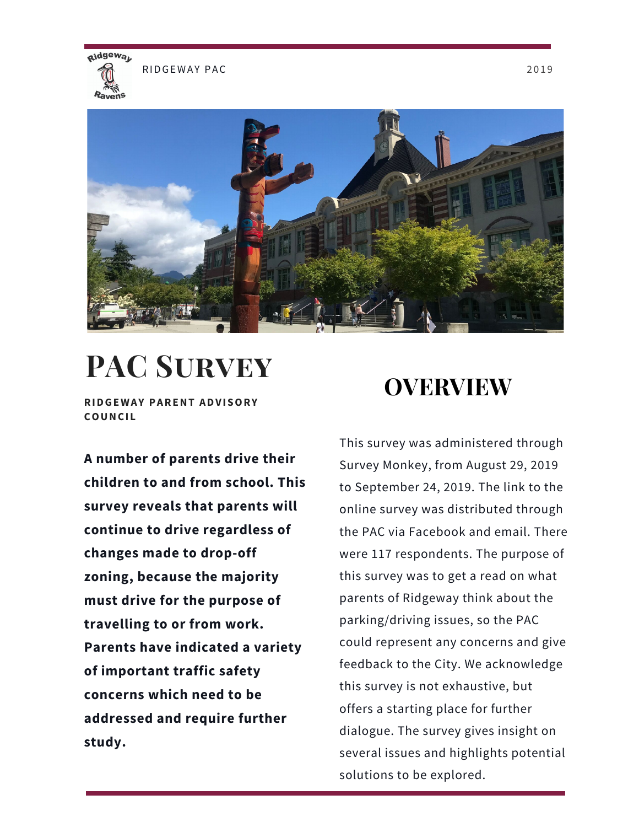

RIDGEWAY PAC 2019



# **PAC Survey**

**RIDGEWAY PARENT ADVISORY COUNCI L**

**A number of parents drive their children to and from school. This survey reveals that parents will continue to drive regardless of changes made to drop-off zoning, because the majority must drive for the purpose of travelling to or from work. Parents have indicated a variety of important traffic safety concerns which need to be addressed and require further study.**

## **OVERVIEW**

This survey was administered through Survey Monkey, from August 29, 2019 to September 24, 2019. The link to the online survey was distributed through the PAC via Facebook and email. There were 117 respondents. The purpose of this survey was to get a read on what parents of Ridgeway think about the parking/driving issues, so the PAC could represent any concerns and give feedback to the City. We acknowledge this survey is not exhaustive, but offers a starting place for further dialogue. The survey gives insight on several issues and highlights potential solutions to be explored.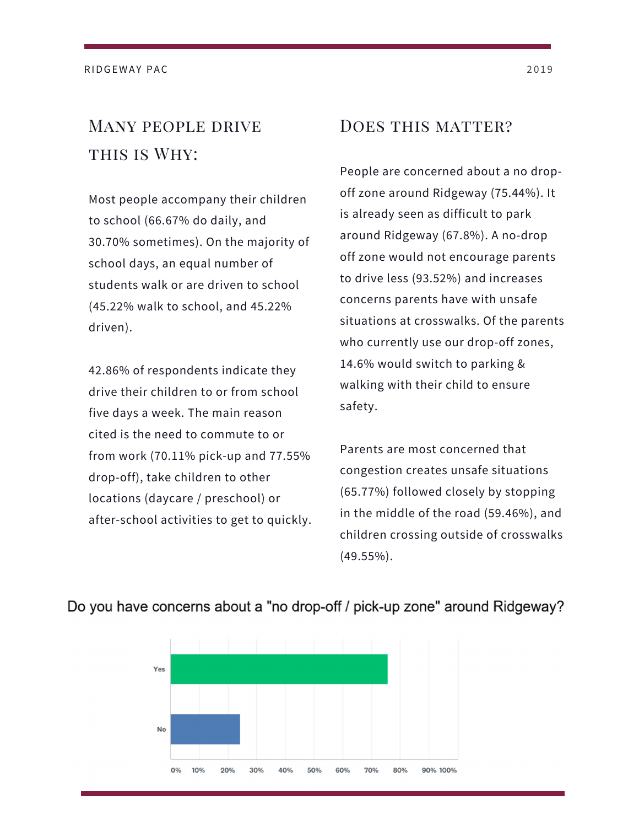### Many people drive THIS IS WHY:

Most people accompany their children to school (66.67% do daily, and 30.70% sometimes). On the majority of school days, an equal number of students walk or are driven to school (45.22% walk to school, and 45.22% driven).

42.86% of respondents indicate they drive their children to or from school five days a week. The main reason cited is the need to commute to or from work (70.11% pick-up and 77.55% drop-off), take children to other locations (daycare / preschool) or after-school activities to get to quickly.

### DOES THIS MATTER?

People are concerned about a no dropoff zone around Ridgeway (75.44%). It is already seen as difficult to park around Ridgeway (67.8%). A no-drop off zone would not encourage parents to drive less (93.52%) and increases concerns parents have with unsafe situations at crosswalks. Of the parents who currently use our drop-off zones, 14.6% would switch to parking & walking with their child to ensure safety.

Parents are most concerned that congestion creates unsafe situations (65.77%) followed closely by stopping in the middle of the road (59.46%), and children crossing outside of crosswalks (49.55%).



#### Do you have concerns about a "no drop-off / pick-up zone" around Ridgeway?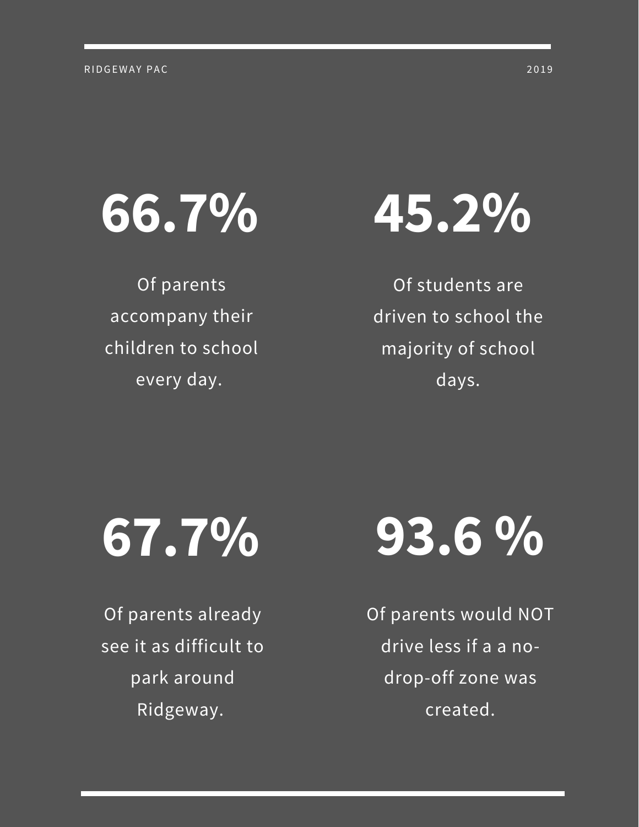

Of parents accompany their children to school every day.

Of students are driven to school the majority of school days.



Of parents already see it as difficult to park around Ridgeway.



Of parents would NOT drive less if a a nodrop-off zone was created.